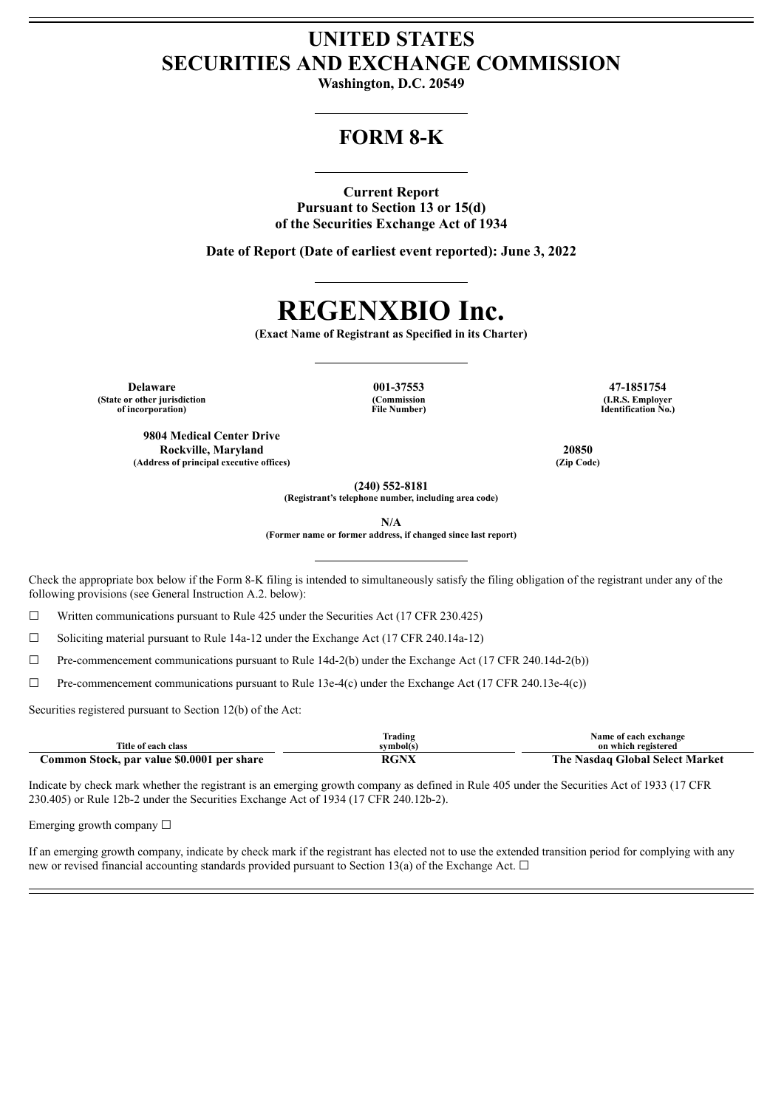# **UNITED STATES SECURITIES AND EXCHANGE COMMISSION**

**Washington, D.C. 20549**

## **FORM 8-K**

## **Current Report**

**Pursuant to Section 13 or 15(d) of the Securities Exchange Act of 1934**

**Date of Report (Date of earliest event reported): June 3, 2022**

# **REGENXBIO Inc.**

**(Exact Name of Registrant as Specified in its Charter)**

**Delaware 001-37553 47-1851754 (State or other jurisdiction of incorporation)**

**9804 Medical Center Drive Rockville, Maryland 20850 (Address of principal executive offices) (Zip Code)**

**(Commission File Number)**

**(I.R.S. Employer Identification No.)**

**(240) 552-8181**

**(Registrant's telephone number, including area code)**

**N/A**

**(Former name or former address, if changed since last report)**

Check the appropriate box below if the Form 8-K filing is intended to simultaneously satisfy the filing obligation of the registrant under any of the following provisions (see General Instruction A.2. below):

 $\Box$  Written communications pursuant to Rule 425 under the Securities Act (17 CFR 230.425)

 $\Box$  Soliciting material pursuant to Rule 14a-12 under the Exchange Act (17 CFR 240.14a-12)

 $\Box$  Pre-commencement communications pursuant to Rule 14d-2(b) under the Exchange Act (17 CFR 240.14d-2(b))

 $\Box$  Pre-commencement communications pursuant to Rule 13e-4(c) under the Exchange Act (17 CFR 240.13e-4(c))

Securities registered pursuant to Section 12(b) of the Act:

| Title of each class                        | Frading<br>svmbol(s) | Name of each exchange<br>on which registered |
|--------------------------------------------|----------------------|----------------------------------------------|
| Common Stock, par value \$0.0001 per share | RGNX                 | The Nasdaq Global Select Market              |

Indicate by check mark whether the registrant is an emerging growth company as defined in Rule 405 under the Securities Act of 1933 (17 CFR 230.405) or Rule 12b-2 under the Securities Exchange Act of 1934 (17 CFR 240.12b-2).

Emerging growth company  $\Box$ 

If an emerging growth company, indicate by check mark if the registrant has elected not to use the extended transition period for complying with any new or revised financial accounting standards provided pursuant to Section 13(a) of the Exchange Act.  $\Box$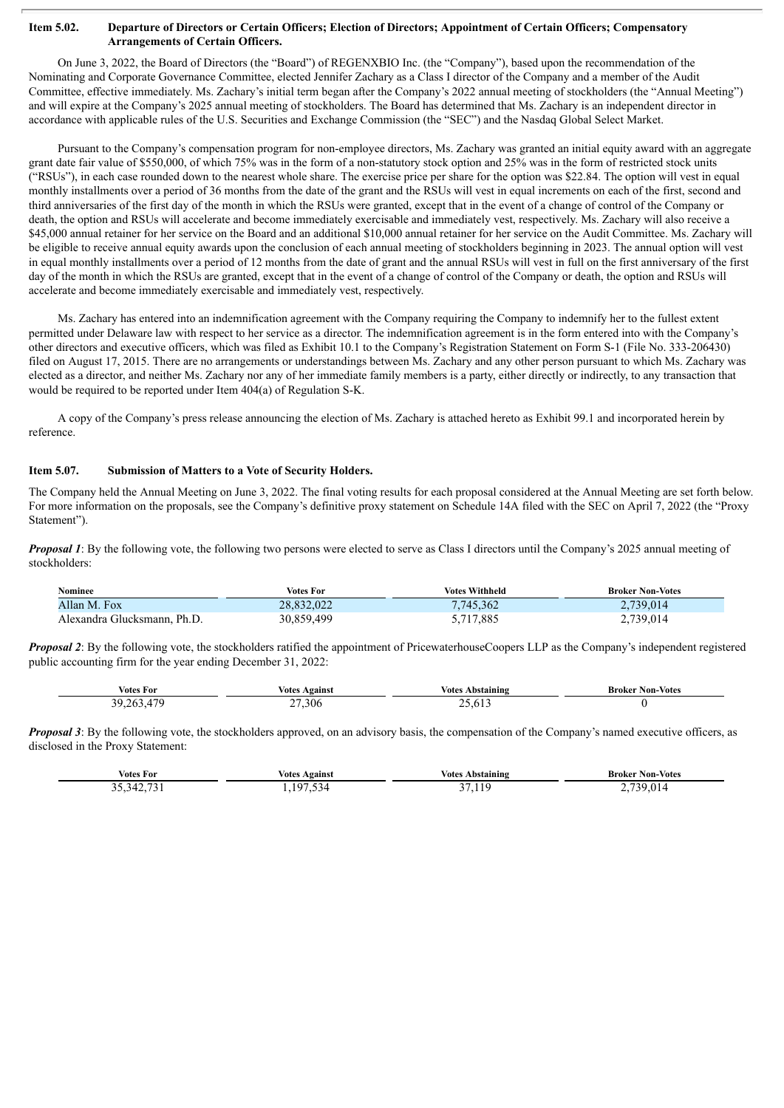#### Item 5.02. Departure of Directors or Certain Officers; Election of Directors; Appointment of Certain Officers; Compensatory **Arrangements of Certain Officers.**

On June 3, 2022, the Board of Directors (the "Board") of REGENXBIO Inc. (the "Company"), based upon the recommendation of the Nominating and Corporate Governance Committee, elected Jennifer Zachary as a Class I director of the Company and a member of the Audit Committee, effective immediately. Ms. Zachary's initial term began after the Company's 2022 annual meeting of stockholders (the "Annual Meeting") and will expire at the Company's 2025 annual meeting of stockholders. The Board has determined that Ms. Zachary is an independent director in accordance with applicable rules of the U.S. Securities and Exchange Commission (the "SEC") and the Nasdaq Global Select Market.

Pursuant to the Company's compensation program for non-employee directors, Ms. Zachary was granted an initial equity award with an aggregate grant date fair value of \$550,000, of which 75% was in the form of a non-statutory stock option and 25% was in the form of restricted stock units ("RSUs"), in each case rounded down to the nearest whole share. The exercise price per share for the option was \$22.84. The option will vest in equal monthly installments over a period of 36 months from the date of the grant and the RSUs will vest in equal increments on each of the first, second and third anniversaries of the first day of the month in which the RSUs were granted, except that in the event of a change of control of the Company or death, the option and RSUs will accelerate and become immediately exercisable and immediately vest, respectively. Ms. Zachary will also receive a \$45,000 annual retainer for her service on the Board and an additional \$10,000 annual retainer for her service on the Audit Committee. Ms. Zachary will be eligible to receive annual equity awards upon the conclusion of each annual meeting of stockholders beginning in 2023. The annual option will vest in equal monthly installments over a period of 12 months from the date of grant and the annual RSUs will vest in full on the first anniversary of the first day of the month in which the RSUs are granted, except that in the event of a change of control of the Company or death, the option and RSUs will accelerate and become immediately exercisable and immediately vest, respectively.

Ms. Zachary has entered into an indemnification agreement with the Company requiring the Company to indemnify her to the fullest extent permitted under Delaware law with respect to her service as a director. The indemnification agreement is in the form entered into with the Company's other directors and executive officers, which was filed as Exhibit 10.1 to the Company's Registration Statement on Form S-1 (File No. 333-206430) filed on August 17, 2015. There are no arrangements or understandings between Ms. Zachary and any other person pursuant to which Ms. Zachary was elected as a director, and neither Ms. Zachary nor any of her immediate family members is a party, either directly or indirectly, to any transaction that would be required to be reported under Item 404(a) of Regulation S-K.

A copy of the Company's press release announcing the election of Ms. Zachary is attached hereto as Exhibit 99.1 and incorporated herein by reference.

## **Item 5.07. Submission of Matters to a Vote of Security Holders.**

The Company held the Annual Meeting on June 3, 2022. The final voting results for each proposal considered at the Annual Meeting are set forth below. For more information on the proposals, see the Company's definitive proxy statement on Schedule 14A filed with the SEC on April 7, 2022 (the "Proxy Statement").

*Proposal* 1: By the following vote, the following two persons were elected to serve as Class I directors until the Company's 2025 annual meeting of stockholders:

| Nominee                       | <b>Votes For</b> | <b>Votes Withheld</b> | <b>Broker Non-Votes</b>              |
|-------------------------------|------------------|-----------------------|--------------------------------------|
| Allan M. Fox                  | 28,832,022       | 7,745,362             | 2,739,014                            |
| Ph.D<br>Alexandra Glucksmann. | 99,499.59 د      | .717,885              | <sup>2</sup> .739,014<br>$\sim\cdot$ |

*Proposal* 2: By the following vote, the stockholders ratified the appointment of PricewaterhouseCoopers LLP as the Company's independent registered public accounting firm for the year ending December 31, 2022:

| Votes For | <b>oainsi</b><br>votes | votes<br>Abstainin | Broker<br>Non<br>Votes<br>. |
|-----------|------------------------|--------------------|-----------------------------|
| u         | ົ<br>30 IF<br>__       | . .<br>$\sim$      |                             |

*Proposal* 3: By the following vote, the stockholders approved, on an advisory basis, the compensation of the Company's named executive officers, as disclosed in the Proxy Statement:

| Votes For | voter<br>Against | votes<br>. Abstaining | Broker Non-Votes |
|-----------|------------------|-----------------------|------------------|
| $-$       | $-$<br>$\Omega$  | $\ddot{\phantom{1}}$  | ıΔ               |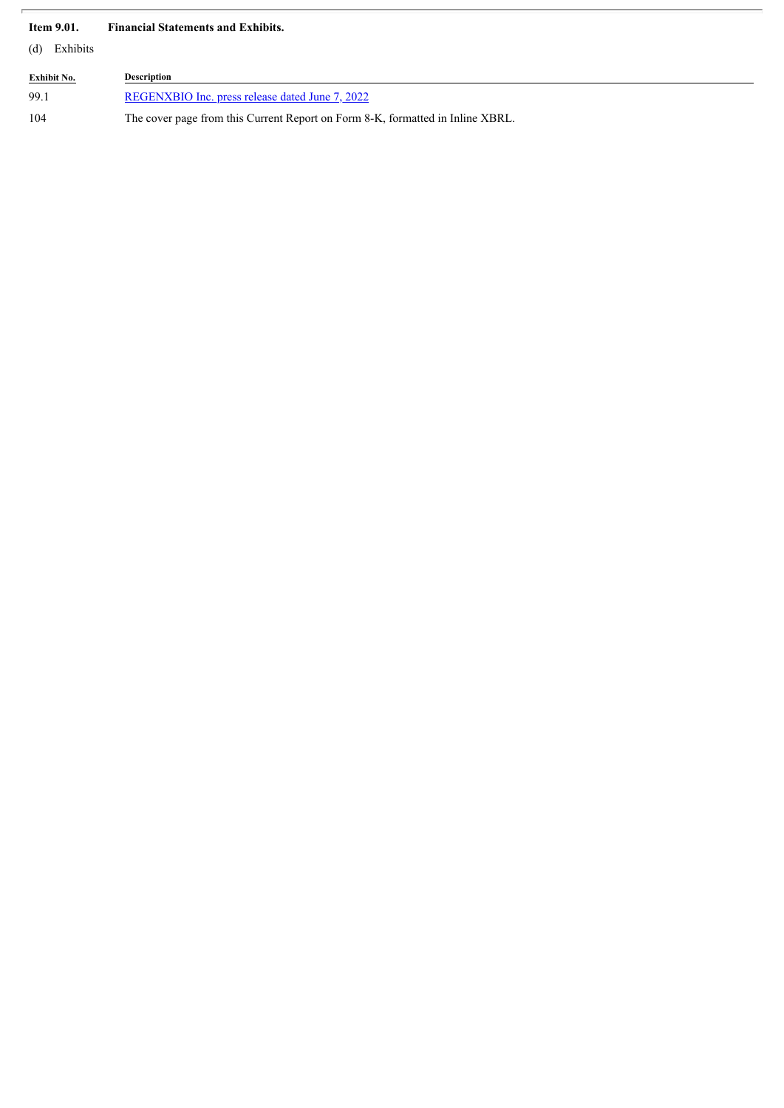## **Item 9.01. Financial Statements and Exhibits.**

(d) Exhibits

| <b>Exhibit No.</b> | <b>Description</b>                                                             |
|--------------------|--------------------------------------------------------------------------------|
| 99.1               | REGENXBIO Inc. press release dated June 7, 2022                                |
| 104                | The cover page from this Current Report on Form 8-K, formatted in Inline XBRL. |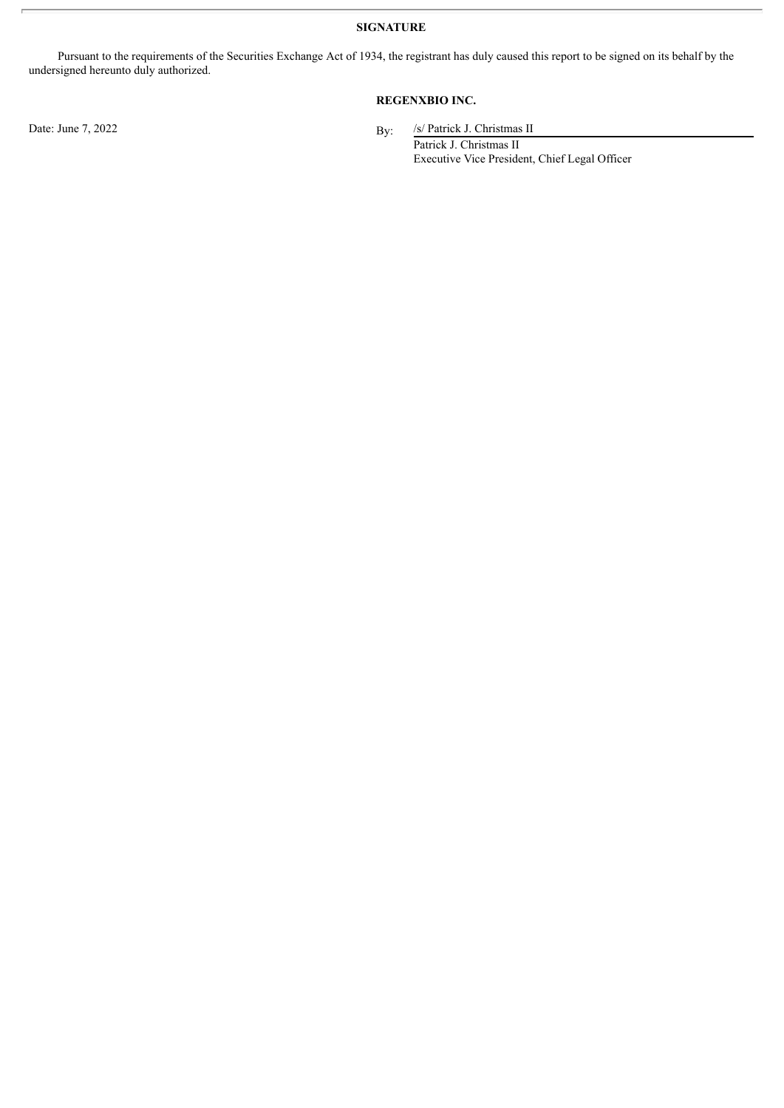**SIGNATURE**

Pursuant to the requirements of the Securities Exchange Act of 1934, the registrant has duly caused this report to be signed on its behalf by the undersigned hereunto duly authorized.

## **REGENXBIO INC.**

/s/ Patrick J. Christmas II

Patrick J. Christmas II Executive Vice President, Chief Legal Officer

Date: June  $7, 2022$  By: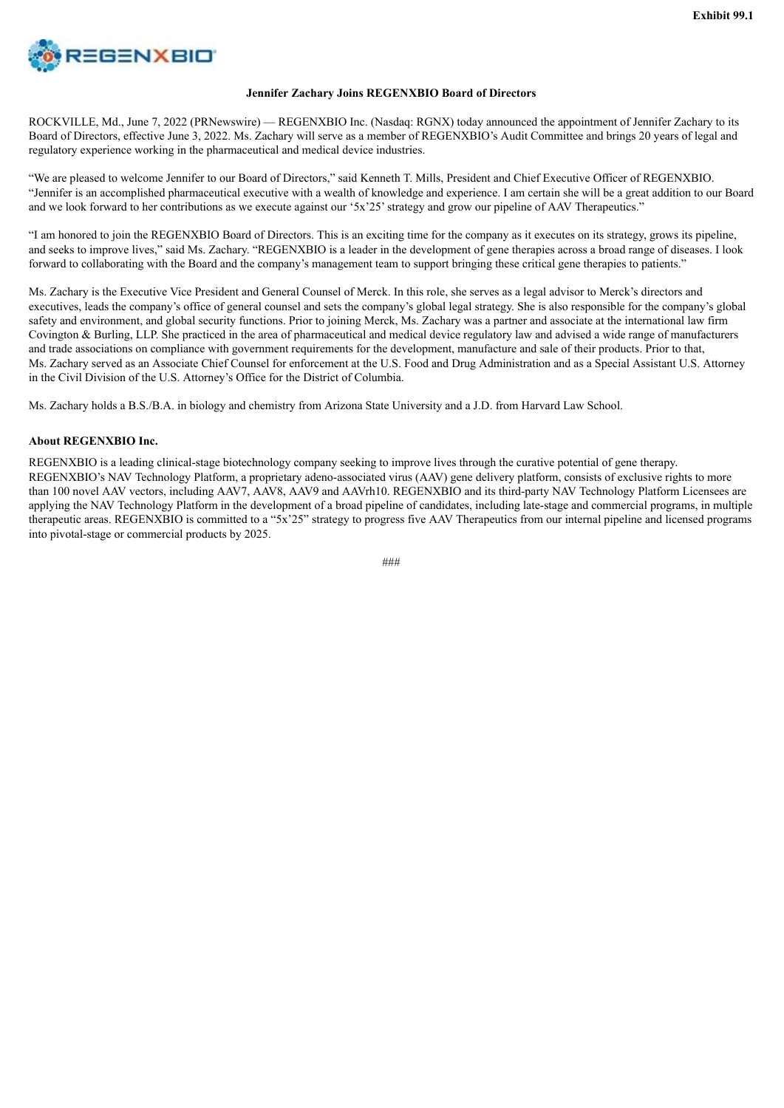<span id="page-4-0"></span>

### **Jennifer Zachary Joins REGENXBIO Board of Directors**

ROCKVILLE, Md., June 7, 2022 (PRNewswire) — REGENXBIO Inc. (Nasdaq: RGNX) today announced the appointment of Jennifer Zachary to its Board of Directors, effective June 3, 2022. Ms. Zachary will serve as a member of REGENXBIO's Audit Committee and brings 20 years of legal and regulatory experience working in the pharmaceutical and medical device industries.

"We are pleased to welcome Jennifer to our Board of Directors," said Kenneth T. Mills, President and Chief Executive Officer of REGENXBIO. "Jennifer is an accomplished pharmaceutical executive with a wealth of knowledge and experience. I am certain she will be a great addition to our Board and we look forward to her contributions as we execute against our '5x'25' strategy and grow our pipeline of AAV Therapeutics."

"I am honored to join the REGENXBIO Board of Directors. This is an exciting time for the company as it executes on its strategy, grows its pipeline, and seeks to improve lives," said Ms. Zachary. "REGENXBIO is a leader in the development of gene therapies across a broad range of diseases. I look forward to collaborating with the Board and the company's management team to support bringing these critical gene therapies to patients."

Ms. Zachary is the Executive Vice President and General Counsel of Merck. In this role, she serves as a legal advisor to Merck's directors and executives, leads the company's office of general counsel and sets the company's global legal strategy. She is also responsible for the company's global safety and environment, and global security functions. Prior to joining Merck, Ms. Zachary was a partner and associate at the international law firm Covington & Burling, LLP. She practiced in the area of pharmaceutical and medical device regulatory law and advised a wide range of manufacturers and trade associations on compliance with government requirements for the development, manufacture and sale of their products. Prior to that, Ms. Zachary served as an Associate Chief Counsel for enforcement at the U.S. Food and Drug Administration and as a Special Assistant U.S. Attorney in the Civil Division of the U.S. Attorney's Office for the District of Columbia.

Ms. Zachary holds a B.S./B.A. in biology and chemistry from Arizona State University and a J.D. from Harvard Law School.

### **About REGENXBIO Inc.**

REGENXBIO is a leading clinical-stage biotechnology company seeking to improve lives through the curative potential of gene therapy. REGENXBIO's NAV Technology Platform, a proprietary adeno-associated virus (AAV) gene delivery platform, consists of exclusive rights to more than 100 novel AAV vectors, including AAV7, AAV8, AAV9 and AAVrh10. REGENXBIO and its third-party NAV Technology Platform Licensees are applying the NAV Technology Platform in the development of a broad pipeline of candidates, including late-stage and commercial programs, in multiple therapeutic areas. REGENXBIO is committed to a "5x'25" strategy to progress five AAV Therapeutics from our internal pipeline and licensed programs into pivotal-stage or commercial products by 2025.

 $###$